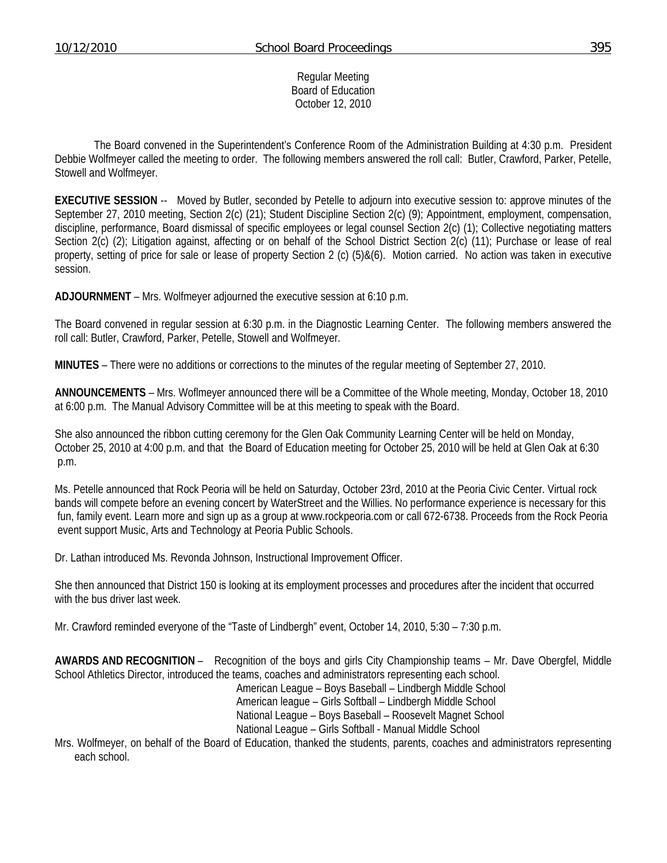#### Regular Meeting Board of Education October 12, 2010

 The Board convened in the Superintendent's Conference Room of the Administration Building at 4:30 p.m. President Debbie Wolfmeyer called the meeting to order. The following members answered the roll call: Butler, Crawford, Parker, Petelle, Stowell and Wolfmeyer.

**EXECUTIVE SESSION** -- Moved by Butler, seconded by Petelle to adjourn into executive session to: approve minutes of the September 27, 2010 meeting, Section 2(c) (21); Student Discipline Section 2(c) (9); Appointment, employment, compensation, discipline, performance, Board dismissal of specific employees or legal counsel Section 2(c) (1); Collective negotiating matters Section 2(c) (2); Litigation against, affecting or on behalf of the School District Section 2(c) (11); Purchase or lease of real property, setting of price for sale or lease of property Section 2 (c) (5)&(6). Motion carried. No action was taken in executive session.

**ADJOURNMENT** – Mrs. Wolfmeyer adjourned the executive session at 6:10 p.m.

The Board convened in regular session at 6:30 p.m. in the Diagnostic Learning Center. The following members answered the roll call: Butler, Crawford, Parker, Petelle, Stowell and Wolfmeyer.

**MINUTES** – There were no additions or corrections to the minutes of the regular meeting of September 27, 2010.

**ANNOUNCEMENTS** – Mrs. Woflmeyer announced there will be a Committee of the Whole meeting, Monday, October 18, 2010 at 6:00 p.m. The Manual Advisory Committee will be at this meeting to speak with the Board.

She also announced the ribbon cutting ceremony for the Glen Oak Community Learning Center will be held on Monday, October 25, 2010 at 4:00 p.m. and that the Board of Education meeting for October 25, 2010 will be held at Glen Oak at 6:30 p.m.

Ms. Petelle announced that Rock Peoria will be held on Saturday, October 23rd, 2010 at the Peoria Civic Center. Virtual rock bands will compete before an evening concert by WaterStreet and the Willies. No performance experience is necessary for this fun, family event. Learn more and sign up as a group at www.rockpeoria.com or call 672-6738. Proceeds from the Rock Peoria event support Music, Arts and Technology at Peoria Public Schools.

Dr. Lathan introduced Ms. Revonda Johnson, Instructional Improvement Officer.

She then announced that District 150 is looking at its employment processes and procedures after the incident that occurred with the bus driver last week.

Mr. Crawford reminded everyone of the "Taste of Lindbergh" event, October 14, 2010, 5:30 – 7:30 p.m.

**AWARDS AND RECOGNITION** – Recognition of the boys and girls City Championship teams – Mr. Dave Obergfel, Middle School Athletics Director, introduced the teams, coaches and administrators representing each school.

 American League – Boys Baseball – Lindbergh Middle School American league – Girls Softball – Lindbergh Middle School National League – Boys Baseball – Roosevelt Magnet School National League – Girls Softball - Manual Middle School

Mrs. Wolfmeyer, on behalf of the Board of Education, thanked the students, parents, coaches and administrators representing each school.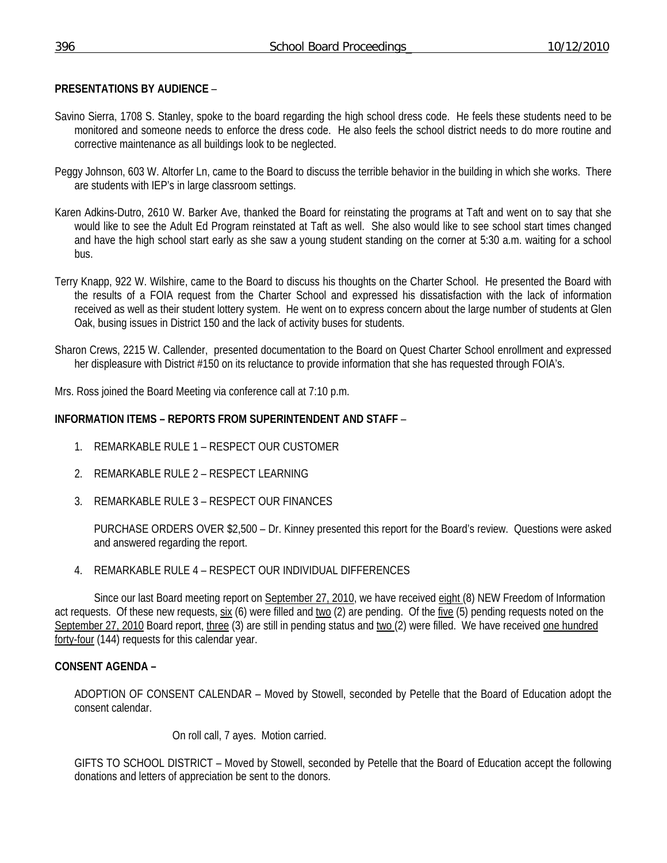# **PRESENTATIONS BY AUDIENCE** –

- Savino Sierra, 1708 S. Stanley, spoke to the board regarding the high school dress code. He feels these students need to be monitored and someone needs to enforce the dress code. He also feels the school district needs to do more routine and corrective maintenance as all buildings look to be neglected.
- Peggy Johnson, 603 W. Altorfer Ln, came to the Board to discuss the terrible behavior in the building in which she works. There are students with IEP's in large classroom settings.
- Karen Adkins-Dutro, 2610 W. Barker Ave, thanked the Board for reinstating the programs at Taft and went on to say that she would like to see the Adult Ed Program reinstated at Taft as well. She also would like to see school start times changed and have the high school start early as she saw a young student standing on the corner at 5:30 a.m. waiting for a school bus.
- Terry Knapp, 922 W. Wilshire, came to the Board to discuss his thoughts on the Charter School. He presented the Board with the results of a FOIA request from the Charter School and expressed his dissatisfaction with the lack of information received as well as their student lottery system. He went on to express concern about the large number of students at Glen Oak, busing issues in District 150 and the lack of activity buses for students.
- Sharon Crews, 2215 W. Callender, presented documentation to the Board on Quest Charter School enrollment and expressed her displeasure with District #150 on its reluctance to provide information that she has requested through FOIA's.

Mrs. Ross joined the Board Meeting via conference call at 7:10 p.m.

### **INFORMATION ITEMS – REPORTS FROM SUPERINTENDENT AND STAFF** –

- 1. REMARKABLE RULE 1 RESPECT OUR CUSTOMER
- 2. REMARKABLE RULE 2 RESPECT LEARNING
- 3. REMARKABLE RULE 3 RESPECT OUR FINANCES

 PURCHASE ORDERS OVER \$2,500 – Dr. Kinney presented this report for the Board's review. Questions were asked and answered regarding the report.

4. REMARKABLE RULE 4 – RESPECT OUR INDIVIDUAL DIFFERENCES

Since our last Board meeting report on September 27, 2010, we have received eight (8) NEW Freedom of Information act requests. Of these new requests,  $\frac{six}{dx}$  (6) were filled and two (2) are pending. Of the five (5) pending requests noted on the September 27, 2010 Board report, three (3) are still in pending status and two (2) were filled. We have received one hundred forty-four (144) requests for this calendar year.

### **CONSENT AGENDA –**

ADOPTION OF CONSENT CALENDAR – Moved by Stowell, seconded by Petelle that the Board of Education adopt the consent calendar.

On roll call, 7 ayes. Motion carried.

GIFTS TO SCHOOL DISTRICT – Moved by Stowell, seconded by Petelle that the Board of Education accept the following donations and letters of appreciation be sent to the donors.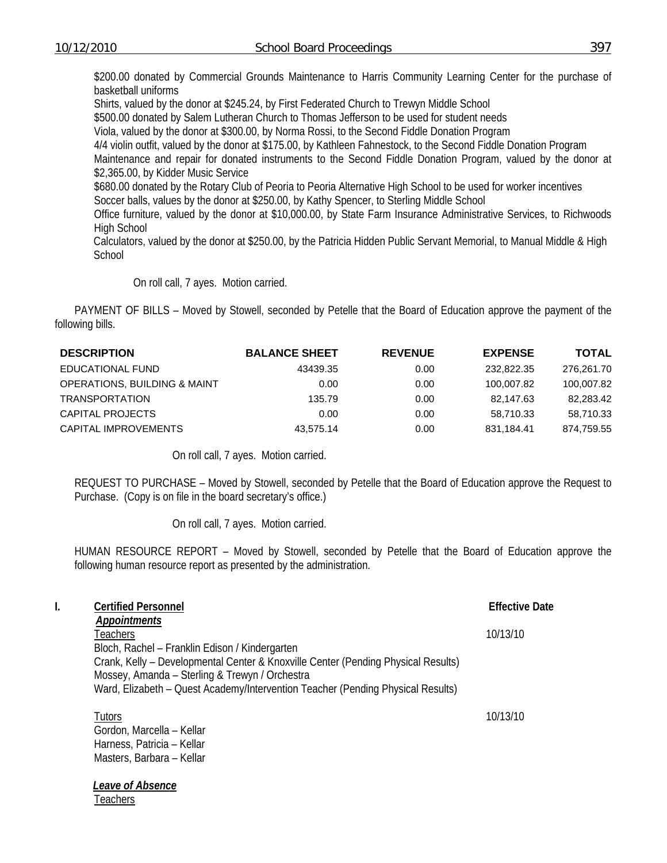**Teachers** 

\$200.00 donated by Commercial Grounds Maintenance to Harris Community Learning Center for the purchase of basketball uniforms

Shirts, valued by the donor at \$245.24, by First Federated Church to Trewyn Middle School

\$500.00 donated by Salem Lutheran Church to Thomas Jefferson to be used for student needs

Viola, valued by the donor at \$300.00, by Norma Rossi, to the Second Fiddle Donation Program

4/4 violin outfit, valued by the donor at \$175.00, by Kathleen Fahnestock, to the Second Fiddle Donation Program

Maintenance and repair for donated instruments to the Second Fiddle Donation Program, valued by the donor at \$2,365.00, by Kidder Music Service

\$680.00 donated by the Rotary Club of Peoria to Peoria Alternative High School to be used for worker incentives Soccer balls, values by the donor at \$250.00, by Kathy Spencer, to Sterling Middle School

Office furniture, valued by the donor at \$10,000.00, by State Farm Insurance Administrative Services, to Richwoods High School

 Calculators, valued by the donor at \$250.00, by the Patricia Hidden Public Servant Memorial, to Manual Middle & High **School** 

On roll call, 7 ayes. Motion carried.

PAYMENT OF BILLS – Moved by Stowell, seconded by Petelle that the Board of Education approve the payment of the following bills.

| <b>DESCRIPTION</b>                      | <b>BALANCE SHEET</b> | <b>REVENUE</b> | <b>EXPENSE</b> | <b>TOTAL</b> |
|-----------------------------------------|----------------------|----------------|----------------|--------------|
| EDUCATIONAL FUND                        | 43439.35             | 0.00           | 232,822,35     | 276,261.70   |
| <b>OPERATIONS, BUILDING &amp; MAINT</b> | 0.00                 | 0.00           | 100.007.82     | 100,007.82   |
| <b>TRANSPORTATION</b>                   | 135.79               | 0.00           | 82.147.63      | 82,283.42    |
| CAPITAL PROJECTS                        | 0.00                 | 0.00           | 58.710.33      | 58,710.33    |
| CAPITAL IMPROVEMENTS                    | 43.575.14            | 0.00           | 831.184.41     | 874,759.55   |

On roll call, 7 ayes. Motion carried.

REQUEST TO PURCHASE – Moved by Stowell, seconded by Petelle that the Board of Education approve the Request to Purchase. (Copy is on file in the board secretary's office.)

On roll call, 7 ayes. Motion carried.

HUMAN RESOURCE REPORT – Moved by Stowell, seconded by Petelle that the Board of Education approve the following human resource report as presented by the administration.

| I. | <b>Certified Personnel</b>                                                        | <b>Effective Date</b> |
|----|-----------------------------------------------------------------------------------|-----------------------|
|    | <b>Appointments</b>                                                               |                       |
|    | Teachers                                                                          | 10/13/10              |
|    | Bloch, Rachel - Franklin Edison / Kindergarten                                    |                       |
|    | Crank, Kelly – Developmental Center & Knoxville Center (Pending Physical Results) |                       |
|    | Mossey, Amanda - Sterling & Trewyn / Orchestra                                    |                       |
|    | Ward, Elizabeth - Quest Academy/Intervention Teacher (Pending Physical Results)   |                       |
|    | Tutors                                                                            | 10/13/10              |
|    | Gordon, Marcella - Kellar                                                         |                       |
|    | Harness, Patricia - Kellar                                                        |                       |
|    | Masters, Barbara - Kellar                                                         |                       |
|    | Leave of Absence                                                                  |                       |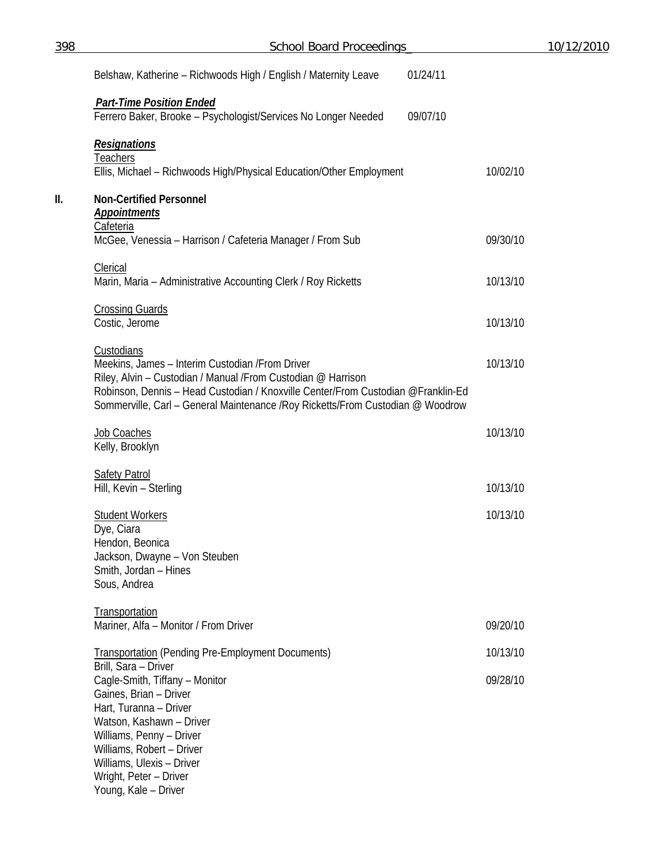| 398 | <b>School Board Proceedings</b>                                                                                                                                                                                                                                                                       |          |  |
|-----|-------------------------------------------------------------------------------------------------------------------------------------------------------------------------------------------------------------------------------------------------------------------------------------------------------|----------|--|
|     | Belshaw, Katherine - Richwoods High / English / Maternity Leave                                                                                                                                                                                                                                       | 01/24/11 |  |
|     | <b>Part-Time Position Ended</b>                                                                                                                                                                                                                                                                       |          |  |
|     | Ferrero Baker, Brooke - Psychologist/Services No Longer Needed                                                                                                                                                                                                                                        | 09/07/10 |  |
|     | <b>Resignations</b><br><b>Teachers</b>                                                                                                                                                                                                                                                                |          |  |
|     | Ellis, Michael - Richwoods High/Physical Education/Other Employment                                                                                                                                                                                                                                   | 10/02/10 |  |
| II. | <b>Non-Certified Personnel</b><br><b>Appointments</b><br>Cafeteria                                                                                                                                                                                                                                    |          |  |
|     | McGee, Venessia - Harrison / Cafeteria Manager / From Sub                                                                                                                                                                                                                                             | 09/30/10 |  |
|     | Clerical<br>Marin, Maria - Administrative Accounting Clerk / Roy Ricketts                                                                                                                                                                                                                             | 10/13/10 |  |
|     | <b>Crossing Guards</b><br>Costic, Jerome                                                                                                                                                                                                                                                              | 10/13/10 |  |
|     | Custodians<br>Meekins, James - Interim Custodian / From Driver<br>Riley, Alvin - Custodian / Manual /From Custodian @ Harrison<br>Robinson, Dennis - Head Custodian / Knoxville Center/From Custodian @Franklin-Ed<br>Sommerville, Carl - General Maintenance / Roy Ricketts/From Custodian @ Woodrow | 10/13/10 |  |
|     | Job Coaches<br>Kelly, Brooklyn                                                                                                                                                                                                                                                                        | 10/13/10 |  |
|     | <b>Safety Patrol</b><br>Hill, Kevin - Sterling                                                                                                                                                                                                                                                        | 10/13/10 |  |
|     | <b>Student Workers</b><br>Dye, Ciara<br>Hendon, Beonica<br>Jackson, Dwayne - Von Steuben                                                                                                                                                                                                              | 10/13/10 |  |
|     | Smith, Jordan - Hines<br>Sous, Andrea                                                                                                                                                                                                                                                                 |          |  |
|     | Transportation<br>Mariner, Alfa - Monitor / From Driver                                                                                                                                                                                                                                               | 09/20/10 |  |
|     | <b>Transportation (Pending Pre-Employment Documents)</b>                                                                                                                                                                                                                                              | 10/13/10 |  |
|     | Brill, Sara - Driver<br>Cagle-Smith, Tiffany - Monitor<br>Gaines, Brian - Driver<br>Hart, Turanna - Driver<br>Watson, Kashawn - Driver<br>Williams, Penny - Driver<br>Williams, Robert - Driver<br>Williams, Ulexis - Driver                                                                          | 09/28/10 |  |
|     | Wright, Peter - Driver<br>Young, Kale - Driver                                                                                                                                                                                                                                                        |          |  |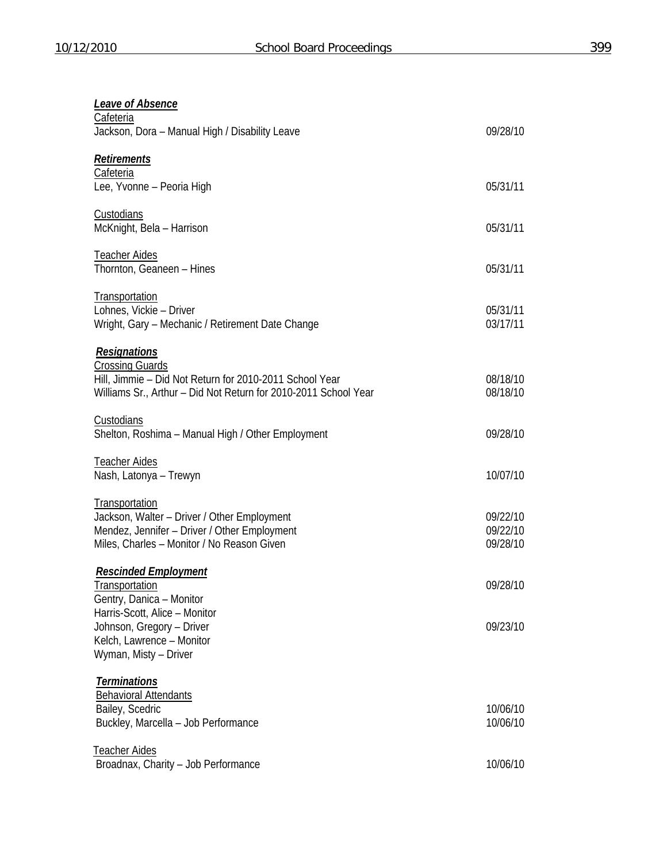| <b>Leave of Absence</b>                                         |                      |
|-----------------------------------------------------------------|----------------------|
| Cafeteria<br>Jackson, Dora - Manual High / Disability Leave     | 09/28/10             |
| Retirements                                                     |                      |
| Cafeteria                                                       |                      |
| Lee, Yvonne - Peoria High                                       | 05/31/11             |
| Custodians                                                      |                      |
| McKnight, Bela - Harrison                                       | 05/31/11             |
| <b>Teacher Aides</b>                                            |                      |
| Thornton, Geaneen - Hines                                       | 05/31/11             |
| <b>Transportation</b>                                           |                      |
| Lohnes, Vickie - Driver                                         | 05/31/11             |
| Wright, Gary - Mechanic / Retirement Date Change                | 03/17/11             |
| <b>Resignations</b>                                             |                      |
| <b>Crossing Guards</b>                                          |                      |
| Hill, Jimmie - Did Not Return for 2010-2011 School Year         | 08/18/10             |
| Williams Sr., Arthur - Did Not Return for 2010-2011 School Year | 08/18/10             |
| <b>Custodians</b>                                               |                      |
| Shelton, Roshima - Manual High / Other Employment               | 09/28/10             |
| <b>Teacher Aides</b>                                            |                      |
| Nash, Latonya - Trewyn                                          | 10/07/10             |
| Transportation                                                  |                      |
| Jackson, Walter - Driver / Other Employment                     | 09/22/10             |
| Mendez, Jennifer - Driver / Other Employment                    | 09/22/10             |
| Miles, Charles - Monitor / No Reason Given                      | 09/28/10             |
| <b>Rescinded Employment</b>                                     |                      |
| Transportation                                                  | 09/28/10             |
| Gentry, Danica - Monitor                                        |                      |
| Harris-Scott, Alice - Monitor                                   |                      |
| Johnson, Gregory - Driver                                       | 09/23/10             |
| Kelch, Lawrence - Monitor                                       |                      |
| Wyman, Misty - Driver                                           |                      |
| <b>Terminations</b>                                             |                      |
| <b>Behavioral Attendants</b>                                    |                      |
| Bailey, Scedric                                                 | 10/06/10<br>10/06/10 |
| Buckley, Marcella - Job Performance                             |                      |
| <b>Teacher Aides</b>                                            |                      |
| Broadnax, Charity - Job Performance                             | 10/06/10             |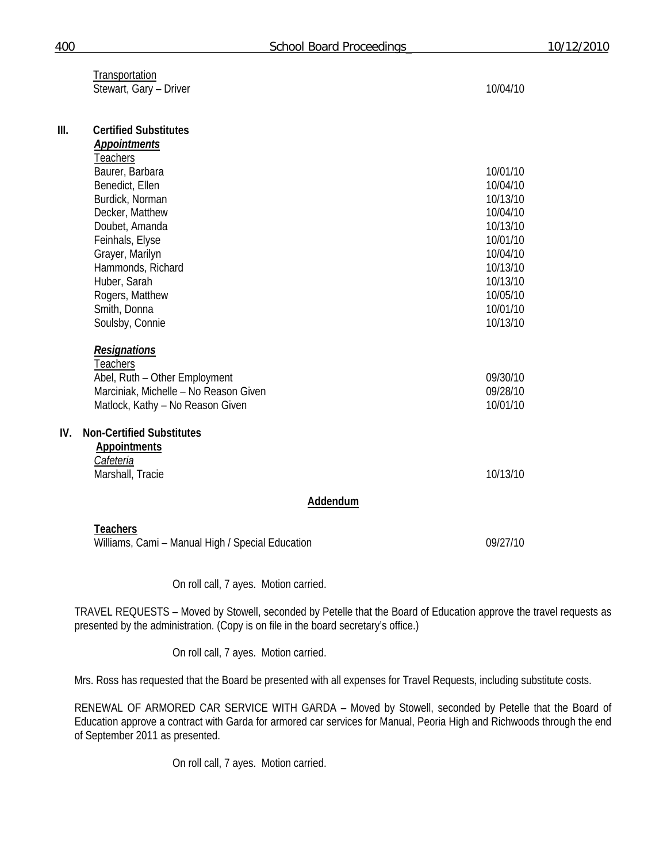|      | Transportation<br>Stewart, Gary - Driver                                                                                                                                                                                                                                           | 10/04/10                                                                                                                         |
|------|------------------------------------------------------------------------------------------------------------------------------------------------------------------------------------------------------------------------------------------------------------------------------------|----------------------------------------------------------------------------------------------------------------------------------|
| III. | <b>Certified Substitutes</b><br><b>Appointments</b><br><b>Teachers</b><br>Baurer, Barbara<br>Benedict, Ellen<br>Burdick, Norman<br>Decker, Matthew<br>Doubet, Amanda<br>Feinhals, Elyse<br>Grayer, Marilyn<br>Hammonds, Richard<br>Huber, Sarah<br>Rogers, Matthew<br>Smith, Donna | 10/01/10<br>10/04/10<br>10/13/10<br>10/04/10<br>10/13/10<br>10/01/10<br>10/04/10<br>10/13/10<br>10/13/10<br>10/05/10<br>10/01/10 |
|      | Soulsby, Connie<br><b>Resignations</b><br>Teachers<br>Abel, Ruth - Other Employment<br>Marciniak, Michelle - No Reason Given<br>Matlock, Kathy - No Reason Given                                                                                                                   | 10/13/10<br>09/30/10<br>09/28/10<br>10/01/10                                                                                     |
| IV.  | <b>Non-Certified Substitutes</b><br><b>Appointments</b><br>Cafeteria<br>Marshall, Tracie                                                                                                                                                                                           | 10/13/10                                                                                                                         |
|      | Addendum                                                                                                                                                                                                                                                                           |                                                                                                                                  |
|      | <b>Teachers</b><br>Williams, Cami - Manual High / Special Education                                                                                                                                                                                                                | 09/27/10                                                                                                                         |

On roll call, 7 ayes. Motion carried.

TRAVEL REQUESTS – Moved by Stowell, seconded by Petelle that the Board of Education approve the travel requests as presented by the administration. (Copy is on file in the board secretary's office.)

On roll call, 7 ayes. Motion carried.

Mrs. Ross has requested that the Board be presented with all expenses for Travel Requests, including substitute costs.

RENEWAL OF ARMORED CAR SERVICE WITH GARDA – Moved by Stowell, seconded by Petelle that the Board of Education approve a contract with Garda for armored car services for Manual, Peoria High and Richwoods through the end of September 2011 as presented.

On roll call, 7 ayes. Motion carried.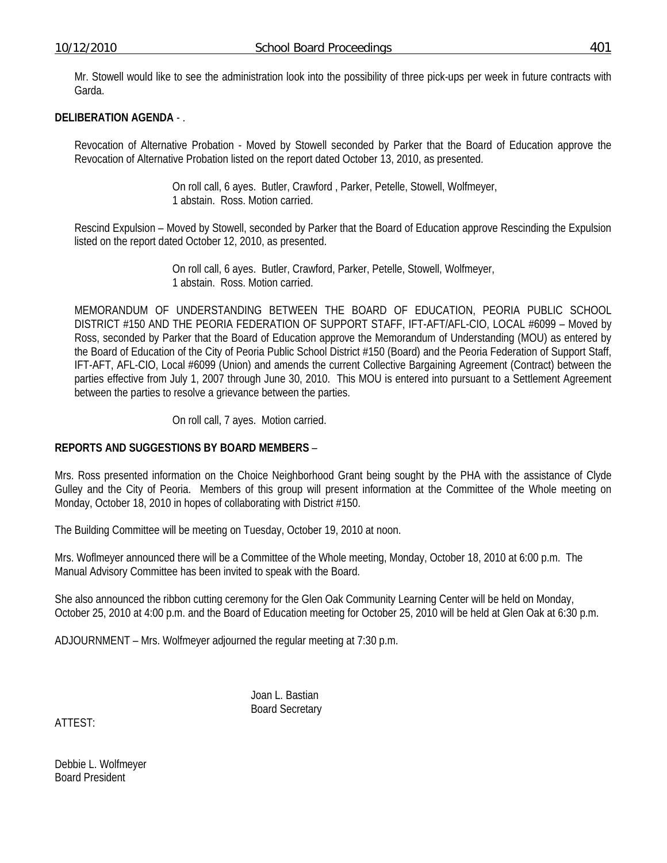Mr. Stowell would like to see the administration look into the possibility of three pick-ups per week in future contracts with Garda.

## **DELIBERATION AGENDA** - .

Revocation of Alternative Probation - Moved by Stowell seconded by Parker that the Board of Education approve the Revocation of Alternative Probation listed on the report dated October 13, 2010, as presented.

> On roll call, 6 ayes. Butler, Crawford , Parker, Petelle, Stowell, Wolfmeyer, 1 abstain. Ross. Motion carried.

Rescind Expulsion – Moved by Stowell, seconded by Parker that the Board of Education approve Rescinding the Expulsion listed on the report dated October 12, 2010, as presented.

> On roll call, 6 ayes. Butler, Crawford, Parker, Petelle, Stowell, Wolfmeyer, 1 abstain. Ross. Motion carried.

MEMORANDUM OF UNDERSTANDING BETWEEN THE BOARD OF EDUCATION, PEORIA PUBLIC SCHOOL DISTRICT #150 AND THE PEORIA FEDERATION OF SUPPORT STAFF, IFT-AFT/AFL-CIO, LOCAL #6099 – Moved by Ross, seconded by Parker that the Board of Education approve the Memorandum of Understanding (MOU) as entered by the Board of Education of the City of Peoria Public School District #150 (Board) and the Peoria Federation of Support Staff, IFT-AFT, AFL-CIO, Local #6099 (Union) and amends the current Collective Bargaining Agreement (Contract) between the parties effective from July 1, 2007 through June 30, 2010. This MOU is entered into pursuant to a Settlement Agreement between the parties to resolve a grievance between the parties.

On roll call, 7 ayes. Motion carried.

### **REPORTS AND SUGGESTIONS BY BOARD MEMBERS** –

Mrs. Ross presented information on the Choice Neighborhood Grant being sought by the PHA with the assistance of Clyde Gulley and the City of Peoria. Members of this group will present information at the Committee of the Whole meeting on Monday, October 18, 2010 in hopes of collaborating with District #150.

The Building Committee will be meeting on Tuesday, October 19, 2010 at noon.

Mrs. Woflmeyer announced there will be a Committee of the Whole meeting, Monday, October 18, 2010 at 6:00 p.m. The Manual Advisory Committee has been invited to speak with the Board.

She also announced the ribbon cutting ceremony for the Glen Oak Community Learning Center will be held on Monday, October 25, 2010 at 4:00 p.m. and the Board of Education meeting for October 25, 2010 will be held at Glen Oak at 6:30 p.m.

ADJOURNMENT – Mrs. Wolfmeyer adjourned the regular meeting at 7:30 p.m.

 Joan L. Bastian Board Secretary

ATTEST:

Debbie L. Wolfmeyer Board President